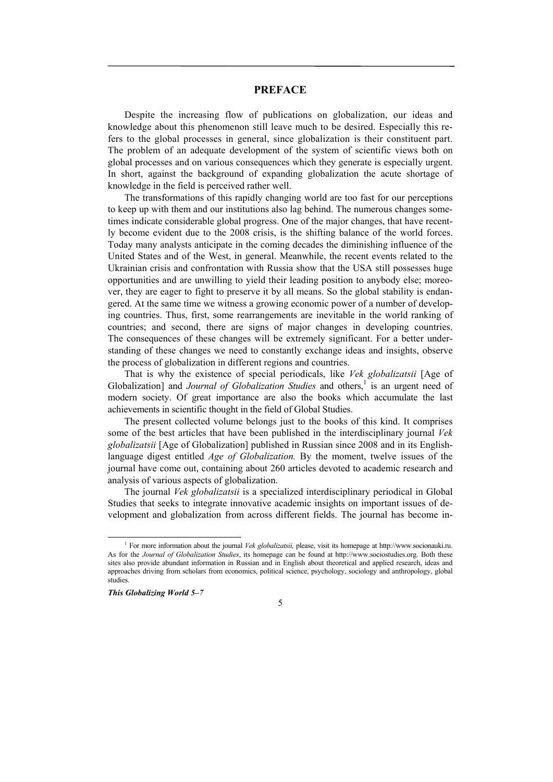## **PREFACE**

Despite the increasing flow of publications on globalization, our ideas and knowledge about this phenomenon still leave much to be desired. Especially this refers to the global processes in general, since globalization is their constituent part. The problem of an adequate development of the system of scientific views both on global processes and on various consequences which they generate is especially urgent. In short, against the background of expanding globalization the acute shortage of knowledge in the field is perceived rather well.

The transformations of this rapidly changing world are too fast for our perceptions to keep up with them and our institutions also lag behind. The numerous changes sometimes indicate considerable global progress. One of the major changes, that have recently become evident due to the 2008 crisis, is the shifting balance of the world forces. Today many analysts anticipate in the coming decades the diminishing influence of the United States and of the West, in general. Meanwhile, the recent events related to the Ukrainian crisis and confrontation with Russia show that the USA still possesses huge opportunities and are unwilling to yield their leading position to anybody else; moreover, they are eager to fight to preserve it by all means. So the global stability is endangered. At the same time we witness a growing economic power of a number of developing countries. Thus, first, some rearrangements are inevitable in the world ranking of countries; and second, there are signs of major changes in developing countries. The consequences of these changes will be extremely significant. For a better understanding of these changes we need to constantly exchange ideas and insights, observe the process of globalization in different regions and countries.

That is why the existence of special periodicals, like *Vek globalizatsii* [Age of Globalization] and *Journal of Globalization Studies* and others,<sup>1</sup> is an urgent need of modern society. Of great importance are also the books which accumulate the last achievements in scientific thought in the field of Global Studies.

The present collected volume belongs just to the books of this kind. It comprises some of the best articles that have been published in the interdisciplinary journal *Vek globalizatsii* [Age of Globalization] published in Russian since 2008 and in its Englishlanguage digest entitled *Age of Globalization.* By the moment, twelve issues of the journal have come out, containing about 260 articles devoted to academic research and analysis of various aspects of globalization.

The journal *Vek globalizatsii* is a specialized interdisciplinary periodical in Global Studies that seeks to integrate innovative academic insights on important issues of development and globalization from across different fields. The journal has become in-

5

 <sup>1</sup> For more information about the journal *Vek globalizatsii,* please, visit its homepage at http://www.socionauki.ru. As for the *Journal of Globalization Studies*, its homepage can be found at http://www.sociostudies.org. Both these sites also provide abundant information in Russian and in English about theoretical and applied research, ideas and approaches driving from scholars from economics, political science, psychology, sociology and anthropology, global studies.

*This Globalizing World 5–7*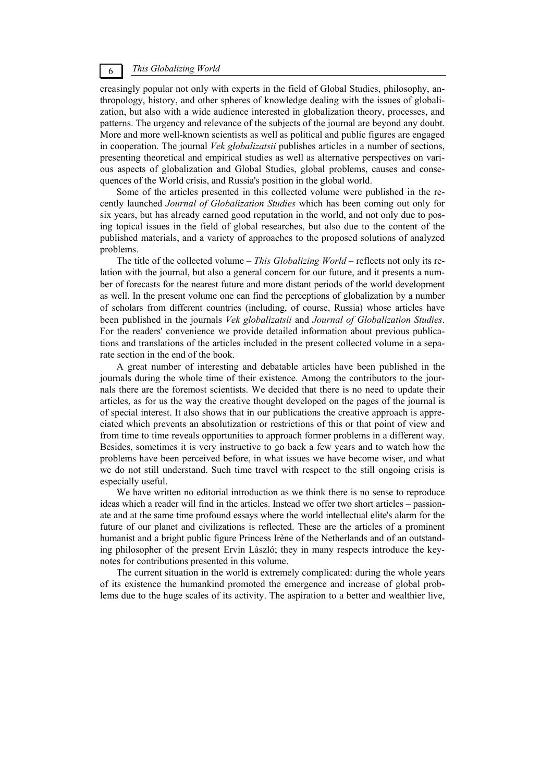## *This Globalizing World* 6

creasingly popular not only with experts in the field of Global Studies, philosophy, anthropology, history, and other spheres of knowledge dealing with the issues of globalization, but also with a wide audience interested in globalization theory, processes, and patterns. The urgency and relevance of the subjects of the journal are beyond any doubt. More and more well-known scientists as well as political and public figures are engaged in cooperation. The journal *Vek globalizatsii* publishes articles in a number of sections, presenting theoretical and empirical studies as well as alternative perspectives on various aspects of globalization and Global Studies, global problems, causes and consequences of the World crisis, and Russia's position in the global world.

Some of the articles presented in this collected volume were published in the recently launched *Journal of Globalization Studies* which has been coming out only for six years, but has already earned good reputation in the world, and not only due to posing topical issues in the field of global researches, but also due to the content of the published materials, and a variety of approaches to the proposed solutions of analyzed problems.

The title of the collected volume – *This Globalizing World* – reflects not only its relation with the journal, but also a general concern for our future, and it presents a number of forecasts for the nearest future and more distant periods of the world development as well. In the present volume one can find the perceptions of globalization by a number of scholars from different countries (including, of course, Russia) whose articles have been published in the journals *Vek globalizatsii* and *Journal of Globalization Studies*. For the readers' convenience we provide detailed information about previous publications and translations of the articles included in the present collected volume in a separate section in the end of the book.

A great number of interesting and debatable articles have been published in the journals during the whole time of their existence. Among the contributors to the journals there are the foremost scientists. We decided that there is no need to update their articles, as for us the way the creative thought developed on the pages of the journal is of special interest. It also shows that in our publications the creative approach is appreciated which prevents an absolutization or restrictions of this or that point of view and from time to time reveals opportunities to approach former problems in a different way. Besides, sometimes it is very instructive to go back a few years and to watch how the problems have been perceived before, in what issues we have become wiser, and what we do not still understand. Such time travel with respect to the still ongoing crisis is especially useful.

We have written no editorial introduction as we think there is no sense to reproduce ideas which a reader will find in the articles. Instead we offer two short articles – passionate and at the same time profound essays where the world intellectual elite's alarm for the future of our planet and civilizations is reflected. These are the articles of a prominent humanist and a bright public figure Princess Irène of the Netherlands and of an outstanding philosopher of the present Ervin László; they in many respects introduce the keynotes for contributions presented in this volume.

The current situation in the world is extremely complicated: during the whole years of its existence the humankind promoted the emergence and increase of global problems due to the huge scales of its activity. The aspiration to a better and wealthier live,